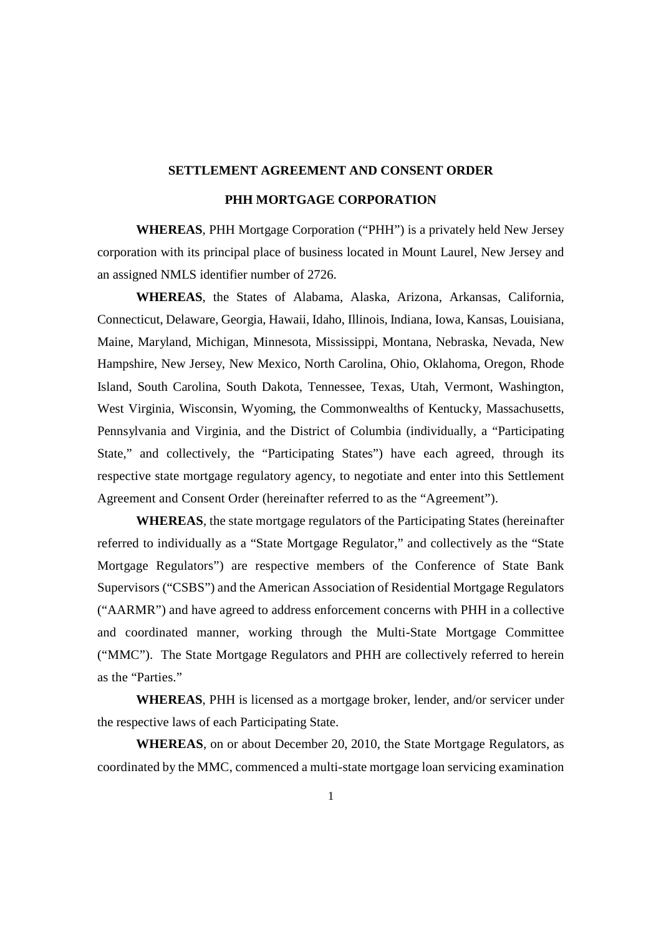# **SETTLEMENT AGREEMENT AND CONSENT ORDER PHH MORTGAGE CORPORATION**

**WHEREAS**, PHH Mortgage Corporation ("PHH") is a privately held New Jersey corporation with its principal place of business located in Mount Laurel, New Jersey and an assigned NMLS identifier number of 2726.

**WHEREAS**, the States of Alabama, Alaska, Arizona, Arkansas, California, Connecticut, Delaware, Georgia, Hawaii, Idaho, Illinois, Indiana, Iowa, Kansas, Louisiana, Maine, Maryland, Michigan, Minnesota, Mississippi, Montana, Nebraska, Nevada, New Hampshire, New Jersey, New Mexico, North Carolina, Ohio, Oklahoma, Oregon, Rhode Island, South Carolina, South Dakota, Tennessee, Texas, Utah, Vermont, Washington, West Virginia, Wisconsin, Wyoming, the Commonwealths of Kentucky, Massachusetts, Pennsylvania and Virginia, and the District of Columbia (individually, a "Participating State," and collectively, the "Participating States") have each agreed, through its respective state mortgage regulatory agency, to negotiate and enter into this Settlement Agreement and Consent Order (hereinafter referred to as the "Agreement").

**WHEREAS**, the state mortgage regulators of the Participating States (hereinafter referred to individually as a "State Mortgage Regulator," and collectively as the "State Mortgage Regulators") are respective members of the Conference of State Bank Supervisors ("CSBS") and the American Association of Residential Mortgage Regulators ("AARMR") and have agreed to address enforcement concerns with PHH in a collective and coordinated manner, working through the Multi-State Mortgage Committee ("MMC"). The State Mortgage Regulators and PHH are collectively referred to herein as the "Parties."

**WHEREAS**, PHH is licensed as a mortgage broker, lender, and/or servicer under the respective laws of each Participating State.

**WHEREAS**, on or about December 20, 2010, the State Mortgage Regulators, as coordinated by the MMC, commenced a multi-state mortgage loan servicing examination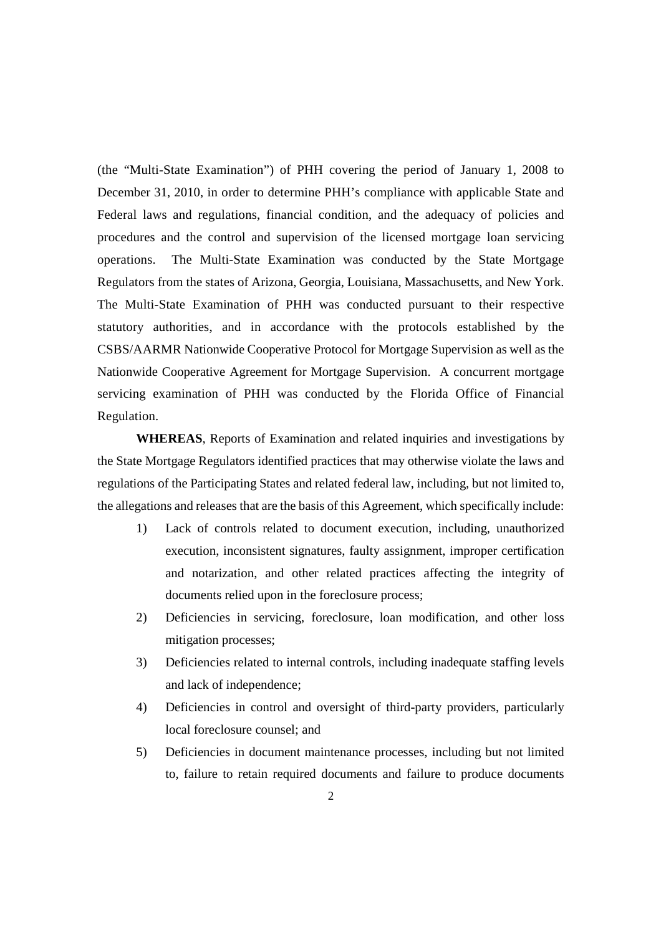(the "Multi-State Examination") of PHH covering the period of January 1, 2008 to December 31, 2010, in order to determine PHH's compliance with applicable State and Federal laws and regulations, financial condition, and the adequacy of policies and procedures and the control and supervision of the licensed mortgage loan servicing operations. The Multi-State Examination was conducted by the State Mortgage Regulators from the states of Arizona, Georgia, Louisiana, Massachusetts, and New York. The Multi-State Examination of PHH was conducted pursuant to their respective statutory authorities, and in accordance with the protocols established by the CSBS/AARMR Nationwide Cooperative Protocol for Mortgage Supervision as well as the Nationwide Cooperative Agreement for Mortgage Supervision. A concurrent mortgage servicing examination of PHH was conducted by the Florida Office of Financial Regulation.

**WHEREAS**, Reports of Examination and related inquiries and investigations by the State Mortgage Regulators identified practices that may otherwise violate the laws and regulations of the Participating States and related federal law, including, but not limited to, the allegations and releases that are the basis of this Agreement, which specifically include:

- 1) Lack of controls related to document execution, including, unauthorized execution, inconsistent signatures, faulty assignment, improper certification and notarization, and other related practices affecting the integrity of documents relied upon in the foreclosure process;
- 2) Deficiencies in servicing, foreclosure, loan modification, and other loss mitigation processes;
- 3) Deficiencies related to internal controls, including inadequate staffing levels and lack of independence;
- 4) Deficiencies in control and oversight of third-party providers, particularly local foreclosure counsel; and
- 5) Deficiencies in document maintenance processes, including but not limited to, failure to retain required documents and failure to produce documents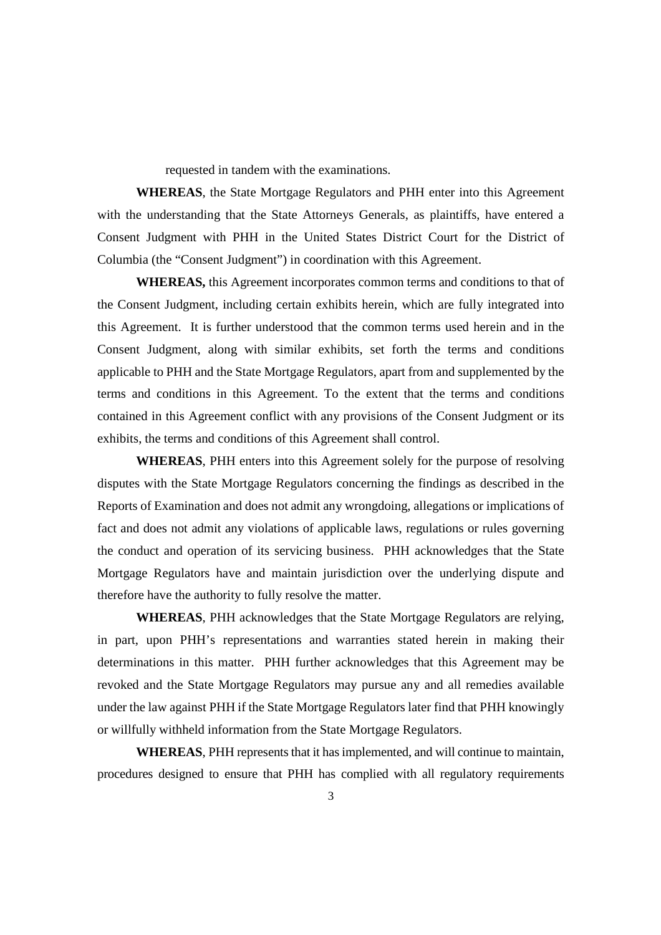requested in tandem with the examinations.

**WHEREAS**, the State Mortgage Regulators and PHH enter into this Agreement with the understanding that the State Attorneys Generals, as plaintiffs, have entered a Consent Judgment with PHH in the United States District Court for the District of Columbia (the "Consent Judgment") in coordination with this Agreement.

**WHEREAS,** this Agreement incorporates common terms and conditions to that of the Consent Judgment, including certain exhibits herein, which are fully integrated into this Agreement. It is further understood that the common terms used herein and in the Consent Judgment, along with similar exhibits, set forth the terms and conditions applicable to PHH and the State Mortgage Regulators, apart from and supplemented by the terms and conditions in this Agreement. To the extent that the terms and conditions contained in this Agreement conflict with any provisions of the Consent Judgment or its exhibits, the terms and conditions of this Agreement shall control.

**WHEREAS**, PHH enters into this Agreement solely for the purpose of resolving disputes with the State Mortgage Regulators concerning the findings as described in the Reports of Examination and does not admit any wrongdoing, allegations or implications of fact and does not admit any violations of applicable laws, regulations or rules governing the conduct and operation of its servicing business. PHH acknowledges that the State Mortgage Regulators have and maintain jurisdiction over the underlying dispute and therefore have the authority to fully resolve the matter.

**WHEREAS**, PHH acknowledges that the State Mortgage Regulators are relying, in part, upon PHH's representations and warranties stated herein in making their determinations in this matter. PHH further acknowledges that this Agreement may be revoked and the State Mortgage Regulators may pursue any and all remedies available under the law against PHH if the State Mortgage Regulators later find that PHH knowingly or willfully withheld information from the State Mortgage Regulators.

**WHEREAS**, PHH represents that it has implemented, and will continue to maintain, procedures designed to ensure that PHH has complied with all regulatory requirements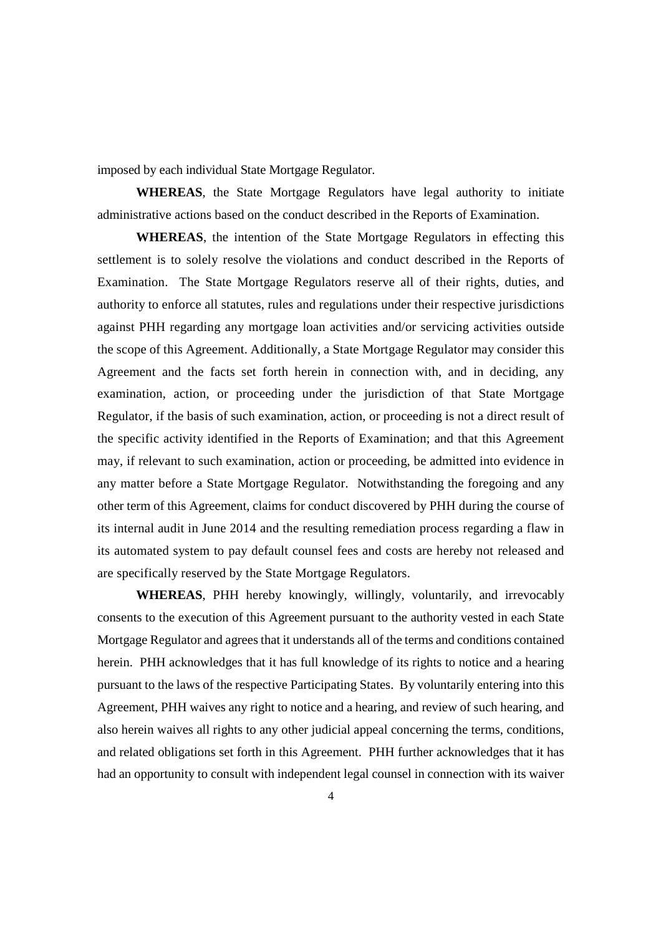imposed by each individual State Mortgage Regulator.

**WHEREAS**, the State Mortgage Regulators have legal authority to initiate administrative actions based on the conduct described in the Reports of Examination.

**WHEREAS**, the intention of the State Mortgage Regulators in effecting this settlement is to solely resolve the violations and conduct described in the Reports of Examination. The State Mortgage Regulators reserve all of their rights, duties, and authority to enforce all statutes, rules and regulations under their respective jurisdictions against PHH regarding any mortgage loan activities and/or servicing activities outside the scope of this Agreement. Additionally, a State Mortgage Regulator may consider this Agreement and the facts set forth herein in connection with, and in deciding, any examination, action, or proceeding under the jurisdiction of that State Mortgage Regulator, if the basis of such examination, action, or proceeding is not a direct result of the specific activity identified in the Reports of Examination; and that this Agreement may, if relevant to such examination, action or proceeding, be admitted into evidence in any matter before a State Mortgage Regulator. Notwithstanding the foregoing and any other term of this Agreement, claims for conduct discovered by PHH during the course of its internal audit in June 2014 and the resulting remediation process regarding a flaw in its automated system to pay default counsel fees and costs are hereby not released and are specifically reserved by the State Mortgage Regulators.

**WHEREAS**, PHH hereby knowingly, willingly, voluntarily, and irrevocably consents to the execution of this Agreement pursuant to the authority vested in each State Mortgage Regulator and agrees that it understands all of the terms and conditions contained herein. PHH acknowledges that it has full knowledge of its rights to notice and a hearing pursuant to the laws of the respective Participating States. By voluntarily entering into this Agreement, PHH waives any right to notice and a hearing, and review of such hearing, and also herein waives all rights to any other judicial appeal concerning the terms, conditions, and related obligations set forth in this Agreement. PHH further acknowledges that it has had an opportunity to consult with independent legal counsel in connection with its waiver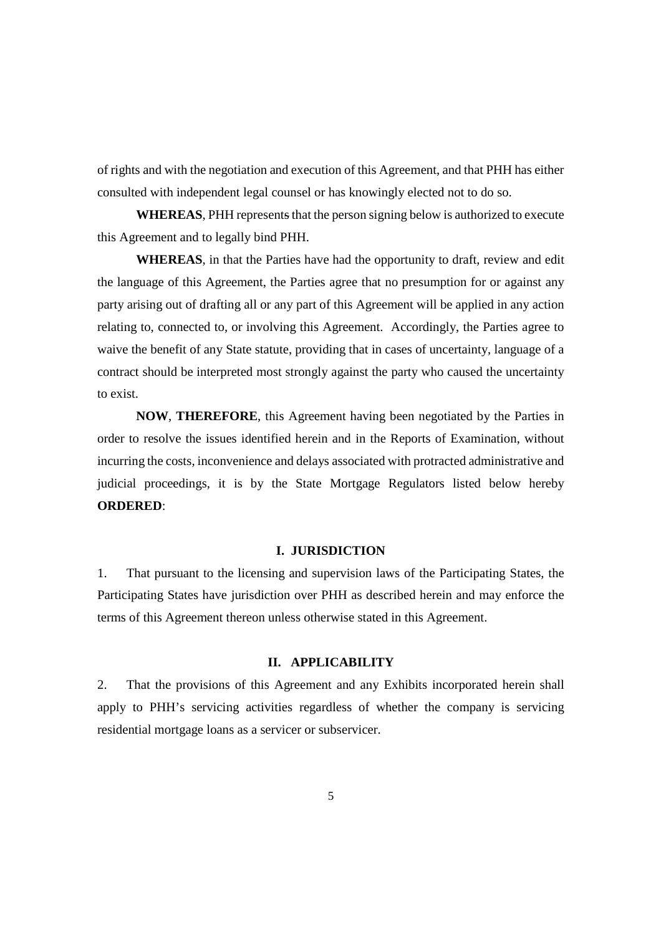of rights and with the negotiation and execution of this Agreement, and that PHH has either consulted with independent legal counsel or has knowingly elected not to do so.

**WHEREAS**, PHH represents that the person signing below is authorized to execute this Agreement and to legally bind PHH.

**WHEREAS**, in that the Parties have had the opportunity to draft, review and edit the language of this Agreement, the Parties agree that no presumption for or against any party arising out of drafting all or any part of this Agreement will be applied in any action relating to, connected to, or involving this Agreement. Accordingly, the Parties agree to waive the benefit of any State statute, providing that in cases of uncertainty, language of a contract should be interpreted most strongly against the party who caused the uncertainty to exist.

**NOW**, **THEREFORE**, this Agreement having been negotiated by the Parties in order to resolve the issues identified herein and in the Reports of Examination, without incurring the costs, inconvenience and delays associated with protracted administrative and judicial proceedings, it is by the State Mortgage Regulators listed below hereby **ORDERED**:

#### **I. JURISDICTION**

1. That pursuant to the licensing and supervision laws of the Participating States, the Participating States have jurisdiction over PHH as described herein and may enforce the terms of this Agreement thereon unless otherwise stated in this Agreement.

## **II. APPLICABILITY**

2. That the provisions of this Agreement and any Exhibits incorporated herein shall apply to PHH's servicing activities regardless of whether the company is servicing residential mortgage loans as a servicer or subservicer.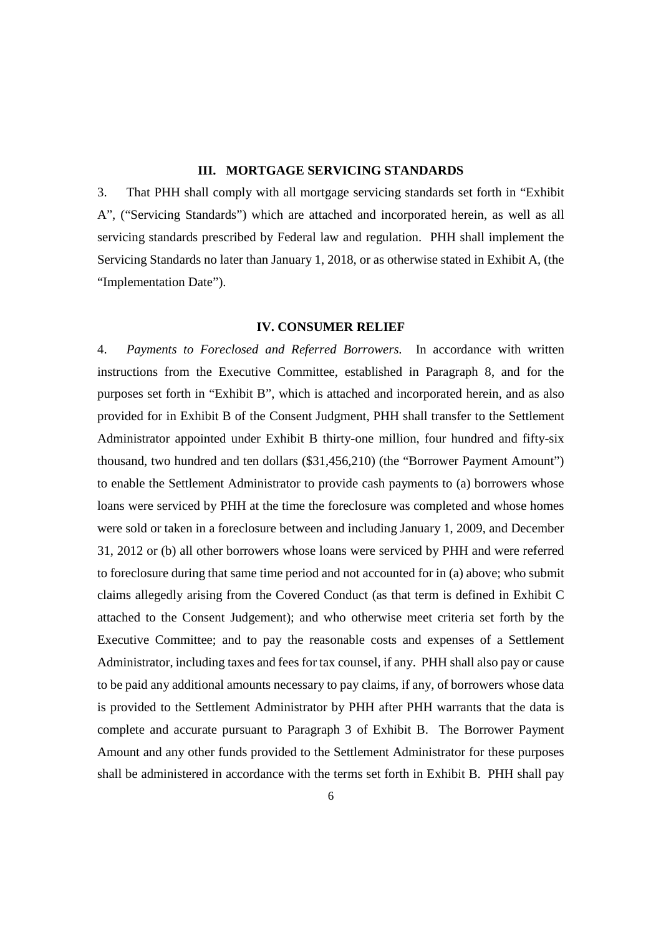### **III. MORTGAGE SERVICING STANDARDS**

3. That PHH shall comply with all mortgage servicing standards set forth in "Exhibit A", ("Servicing Standards") which are attached and incorporated herein, as well as all servicing standards prescribed by Federal law and regulation. PHH shall implement the Servicing Standards no later than January 1, 2018, or as otherwise stated in Exhibit A, (the "Implementation Date").

#### **IV. CONSUMER RELIEF**

4. *Payments to Foreclosed and Referred Borrowers.* In accordance with written instructions from the Executive Committee, established in Paragraph 8, and for the purposes set forth in "Exhibit B", which is attached and incorporated herein, and as also provided for in Exhibit B of the Consent Judgment, PHH shall transfer to the Settlement Administrator appointed under Exhibit B thirty-one million, four hundred and fifty-six thousand, two hundred and ten dollars (\$31,456,210) (the "Borrower Payment Amount") to enable the Settlement Administrator to provide cash payments to (a) borrowers whose loans were serviced by PHH at the time the foreclosure was completed and whose homes were sold or taken in a foreclosure between and including January 1, 2009, and December 31, 2012 or (b) all other borrowers whose loans were serviced by PHH and were referred to foreclosure during that same time period and not accounted for in (a) above; who submit claims allegedly arising from the Covered Conduct (as that term is defined in Exhibit C attached to the Consent Judgement); and who otherwise meet criteria set forth by the Executive Committee; and to pay the reasonable costs and expenses of a Settlement Administrator, including taxes and fees for tax counsel, if any. PHH shall also pay or cause to be paid any additional amounts necessary to pay claims, if any, of borrowers whose data is provided to the Settlement Administrator by PHH after PHH warrants that the data is complete and accurate pursuant to Paragraph 3 of Exhibit B. The Borrower Payment Amount and any other funds provided to the Settlement Administrator for these purposes shall be administered in accordance with the terms set forth in Exhibit B. PHH shall pay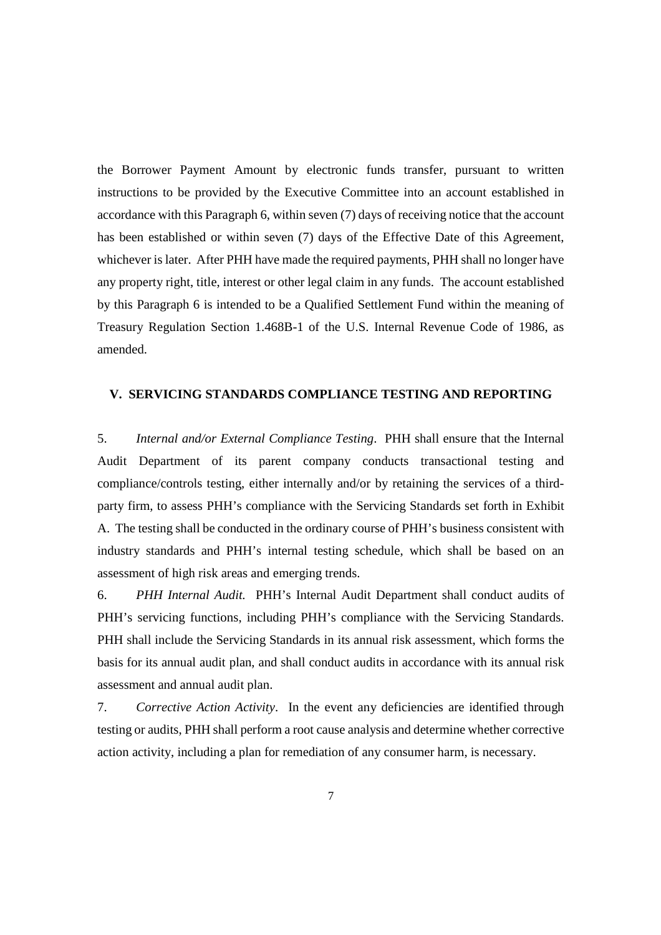the Borrower Payment Amount by electronic funds transfer, pursuant to written instructions to be provided by the Executive Committee into an account established in accordance with this Paragraph 6, within seven (7) days of receiving notice that the account has been established or within seven (7) days of the Effective Date of this Agreement, whichever is later. After PHH have made the required payments, PHH shall no longer have any property right, title, interest or other legal claim in any funds. The account established by this Paragraph 6 is intended to be a Qualified Settlement Fund within the meaning of Treasury Regulation Section 1.468B-1 of the U.S. Internal Revenue Code of 1986, as amended.

## **V. SERVICING STANDARDS COMPLIANCE TESTING AND REPORTING**

5. *Internal and/or External Compliance Testing*. PHH shall ensure that the Internal Audit Department of its parent company conducts transactional testing and compliance/controls testing, either internally and/or by retaining the services of a thirdparty firm, to assess PHH's compliance with the Servicing Standards set forth in Exhibit A. The testing shall be conducted in the ordinary course of PHH's business consistent with industry standards and PHH's internal testing schedule, which shall be based on an assessment of high risk areas and emerging trends.

6. *PHH Internal Audit.* PHH's Internal Audit Department shall conduct audits of PHH's servicing functions, including PHH's compliance with the Servicing Standards. PHH shall include the Servicing Standards in its annual risk assessment, which forms the basis for its annual audit plan, and shall conduct audits in accordance with its annual risk assessment and annual audit plan.

7. *Corrective Action Activity*. In the event any deficiencies are identified through testing or audits, PHH shall perform a root cause analysis and determine whether corrective action activity, including a plan for remediation of any consumer harm, is necessary.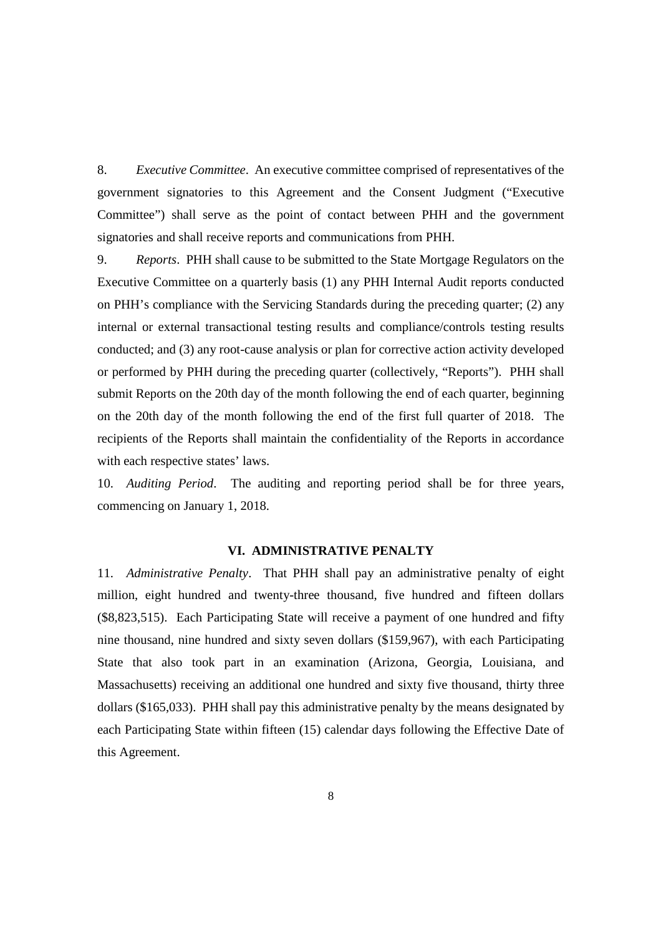8. *Executive Committee*. An executive committee comprised of representatives of the government signatories to this Agreement and the Consent Judgment ("Executive Committee") shall serve as the point of contact between PHH and the government signatories and shall receive reports and communications from PHH.

9. *Reports*. PHH shall cause to be submitted to the State Mortgage Regulators on the Executive Committee on a quarterly basis (1) any PHH Internal Audit reports conducted on PHH's compliance with the Servicing Standards during the preceding quarter; (2) any internal or external transactional testing results and compliance/controls testing results conducted; and (3) any root-cause analysis or plan for corrective action activity developed or performed by PHH during the preceding quarter (collectively, "Reports"). PHH shall submit Reports on the 20th day of the month following the end of each quarter, beginning on the 20th day of the month following the end of the first full quarter of 2018. The recipients of the Reports shall maintain the confidentiality of the Reports in accordance with each respective states' laws.

10. *Auditing Period*. The auditing and reporting period shall be for three years, commencing on January 1, 2018.

#### **VI. ADMINISTRATIVE PENALTY**

11. *Administrative Penalty*. That PHH shall pay an administrative penalty of eight million, eight hundred and twenty-three thousand, five hundred and fifteen dollars (\$8,823,515). Each Participating State will receive a payment of one hundred and fifty nine thousand, nine hundred and sixty seven dollars (\$159,967), with each Participating State that also took part in an examination (Arizona, Georgia, Louisiana, and Massachusetts) receiving an additional one hundred and sixty five thousand, thirty three dollars (\$165,033). PHH shall pay this administrative penalty by the means designated by each Participating State within fifteen (15) calendar days following the Effective Date of this Agreement.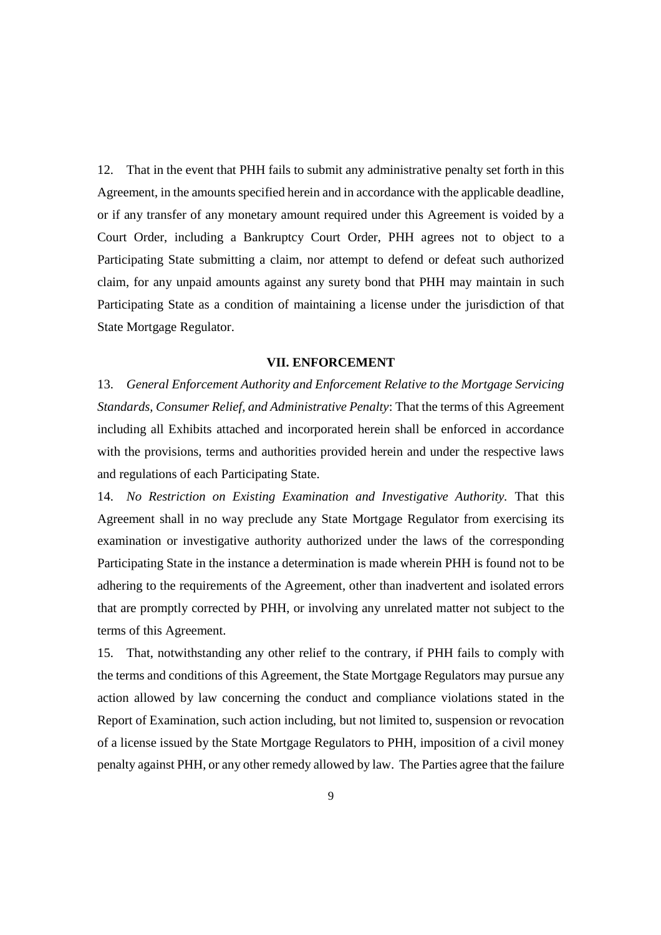12. That in the event that PHH fails to submit any administrative penalty set forth in this Agreement, in the amounts specified herein and in accordance with the applicable deadline, or if any transfer of any monetary amount required under this Agreement is voided by a Court Order, including a Bankruptcy Court Order, PHH agrees not to object to a Participating State submitting a claim, nor attempt to defend or defeat such authorized claim, for any unpaid amounts against any surety bond that PHH may maintain in such Participating State as a condition of maintaining a license under the jurisdiction of that State Mortgage Regulator.

#### **VII. ENFORCEMENT**

13. *General Enforcement Authority and Enforcement Relative to the Mortgage Servicing Standards, Consumer Relief, and Administrative Penalty*: That the terms of this Agreement including all Exhibits attached and incorporated herein shall be enforced in accordance with the provisions, terms and authorities provided herein and under the respective laws and regulations of each Participating State.

14. *No Restriction on Existing Examination and Investigative Authority.* That this Agreement shall in no way preclude any State Mortgage Regulator from exercising its examination or investigative authority authorized under the laws of the corresponding Participating State in the instance a determination is made wherein PHH is found not to be adhering to the requirements of the Agreement, other than inadvertent and isolated errors that are promptly corrected by PHH, or involving any unrelated matter not subject to the terms of this Agreement.

15. That, notwithstanding any other relief to the contrary, if PHH fails to comply with the terms and conditions of this Agreement, the State Mortgage Regulators may pursue any action allowed by law concerning the conduct and compliance violations stated in the Report of Examination, such action including, but not limited to, suspension or revocation of a license issued by the State Mortgage Regulators to PHH, imposition of a civil money penalty against PHH, or any other remedy allowed by law. The Parties agree that the failure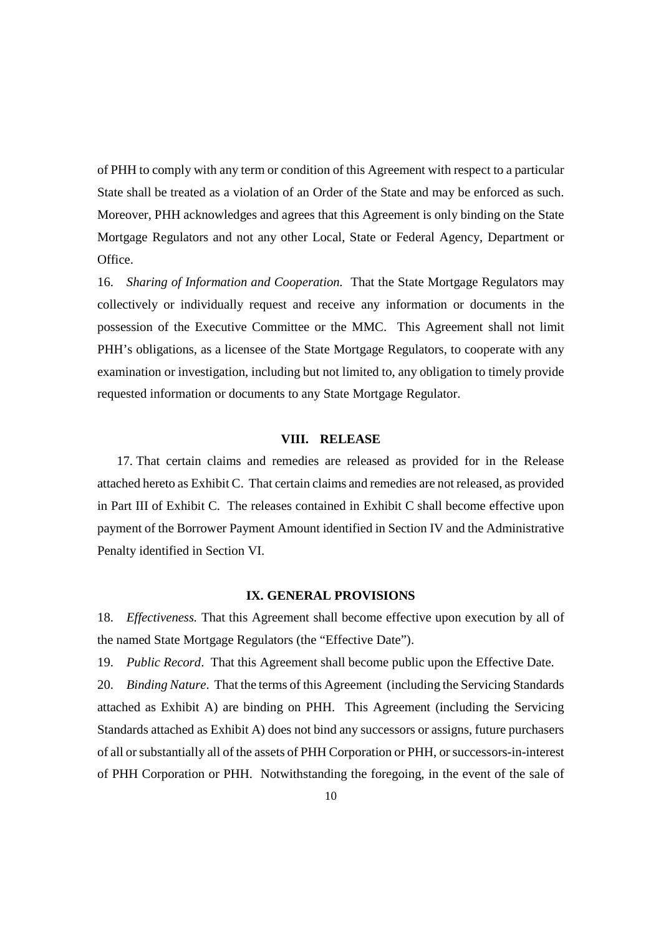of PHH to comply with any term or condition of this Agreement with respect to a particular State shall be treated as a violation of an Order of the State and may be enforced as such. Moreover, PHH acknowledges and agrees that this Agreement is only binding on the State Mortgage Regulators and not any other Local, State or Federal Agency, Department or Office.

16. *Sharing of Information and Cooperation.* That the State Mortgage Regulators may collectively or individually request and receive any information or documents in the possession of the Executive Committee or the MMC. This Agreement shall not limit PHH's obligations, as a licensee of the State Mortgage Regulators, to cooperate with any examination or investigation, including but not limited to, any obligation to timely provide requested information or documents to any State Mortgage Regulator.

#### **VIII. RELEASE**

17. That certain claims and remedies are released as provided for in the Release attached hereto as Exhibit C. That certain claims and remedies are not released, as provided in Part III of Exhibit C. The releases contained in Exhibit C shall become effective upon payment of the Borrower Payment Amount identified in Section IV and the Administrative Penalty identified in Section VI.

#### **IX. GENERAL PROVISIONS**

18. *Effectiveness.* That this Agreement shall become effective upon execution by all of the named State Mortgage Regulators (the "Effective Date").

19. *Public Record*. That this Agreement shall become public upon the Effective Date.

20. *Binding Nature*. That the terms of this Agreement (including the Servicing Standards attached as Exhibit A) are binding on PHH. This Agreement (including the Servicing Standards attached as Exhibit A) does not bind any successors or assigns, future purchasers of all or substantially all of the assets of PHH Corporation or PHH, or successors-in-interest of PHH Corporation or PHH. Notwithstanding the foregoing, in the event of the sale of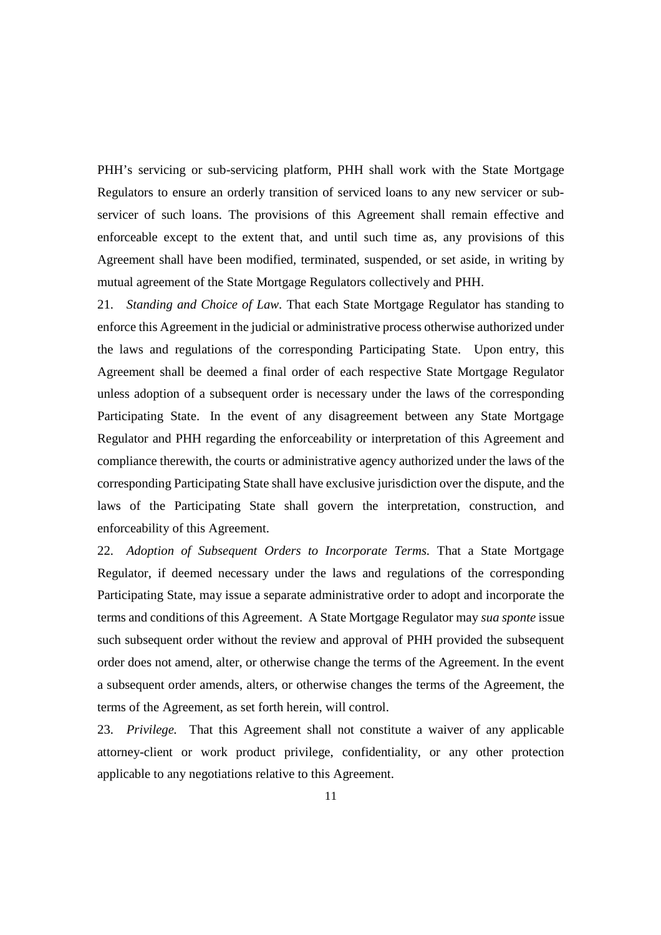PHH's servicing or sub-servicing platform, PHH shall work with the State Mortgage Regulators to ensure an orderly transition of serviced loans to any new servicer or subservicer of such loans. The provisions of this Agreement shall remain effective and enforceable except to the extent that, and until such time as, any provisions of this Agreement shall have been modified, terminated, suspended, or set aside, in writing by mutual agreement of the State Mortgage Regulators collectively and PHH.

21. *Standing and Choice of Law.* That each State Mortgage Regulator has standing to enforce this Agreement in the judicial or administrative process otherwise authorized under the laws and regulations of the corresponding Participating State. Upon entry, this Agreement shall be deemed a final order of each respective State Mortgage Regulator unless adoption of a subsequent order is necessary under the laws of the corresponding Participating State. In the event of any disagreement between any State Mortgage Regulator and PHH regarding the enforceability or interpretation of this Agreement and compliance therewith, the courts or administrative agency authorized under the laws of the corresponding Participating State shall have exclusive jurisdiction over the dispute, and the laws of the Participating State shall govern the interpretation, construction, and enforceability of this Agreement.

22. *Adoption of Subsequent Orders to Incorporate Terms.* That a State Mortgage Regulator, if deemed necessary under the laws and regulations of the corresponding Participating State, may issue a separate administrative order to adopt and incorporate the terms and conditions of this Agreement. A State Mortgage Regulator may *sua sponte* issue such subsequent order without the review and approval of PHH provided the subsequent order does not amend, alter, or otherwise change the terms of the Agreement. In the event a subsequent order amends, alters, or otherwise changes the terms of the Agreement, the terms of the Agreement, as set forth herein, will control.

23. *Privilege.* That this Agreement shall not constitute a waiver of any applicable attorney-client or work product privilege, confidentiality, or any other protection applicable to any negotiations relative to this Agreement.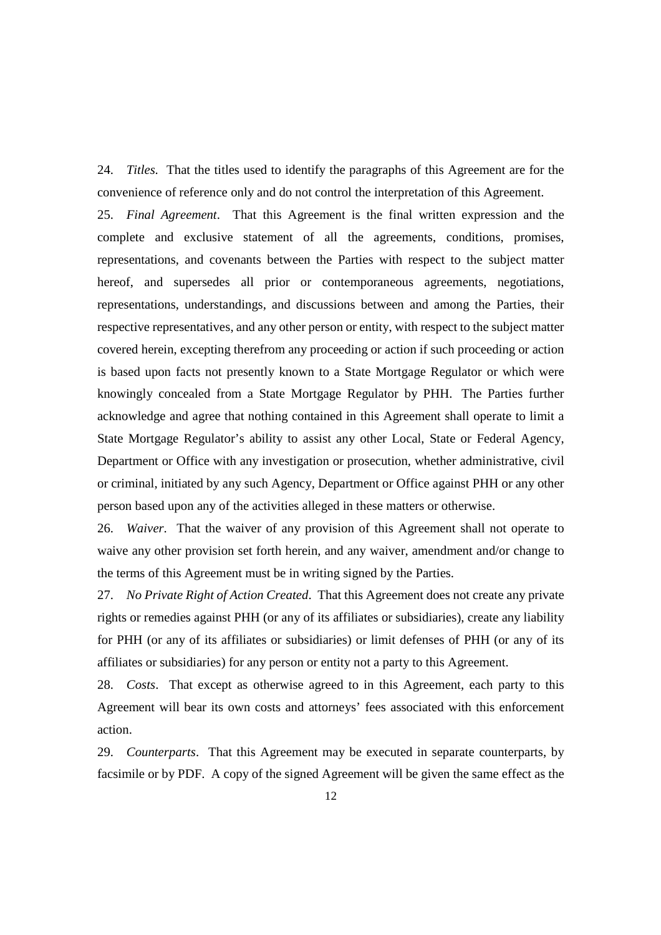24. *Titles.* That the titles used to identify the paragraphs of this Agreement are for the convenience of reference only and do not control the interpretation of this Agreement.

25. *Final Agreement*. That this Agreement is the final written expression and the complete and exclusive statement of all the agreements, conditions, promises, representations, and covenants between the Parties with respect to the subject matter hereof, and supersedes all prior or contemporaneous agreements, negotiations, representations, understandings, and discussions between and among the Parties, their respective representatives, and any other person or entity, with respect to the subject matter covered herein, excepting therefrom any proceeding or action if such proceeding or action is based upon facts not presently known to a State Mortgage Regulator or which were knowingly concealed from a State Mortgage Regulator by PHH. The Parties further acknowledge and agree that nothing contained in this Agreement shall operate to limit a State Mortgage Regulator's ability to assist any other Local, State or Federal Agency, Department or Office with any investigation or prosecution, whether administrative, civil or criminal, initiated by any such Agency, Department or Office against PHH or any other person based upon any of the activities alleged in these matters or otherwise.

26. *Waiver*. That the waiver of any provision of this Agreement shall not operate to waive any other provision set forth herein, and any waiver, amendment and/or change to the terms of this Agreement must be in writing signed by the Parties.

27. *No Private Right of Action Created*. That this Agreement does not create any private rights or remedies against PHH (or any of its affiliates or subsidiaries), create any liability for PHH (or any of its affiliates or subsidiaries) or limit defenses of PHH (or any of its affiliates or subsidiaries) for any person or entity not a party to this Agreement.

28. *Costs*. That except as otherwise agreed to in this Agreement, each party to this Agreement will bear its own costs and attorneys' fees associated with this enforcement action.

29. *Counterparts*. That this Agreement may be executed in separate counterparts, by facsimile or by PDF. A copy of the signed Agreement will be given the same effect as the